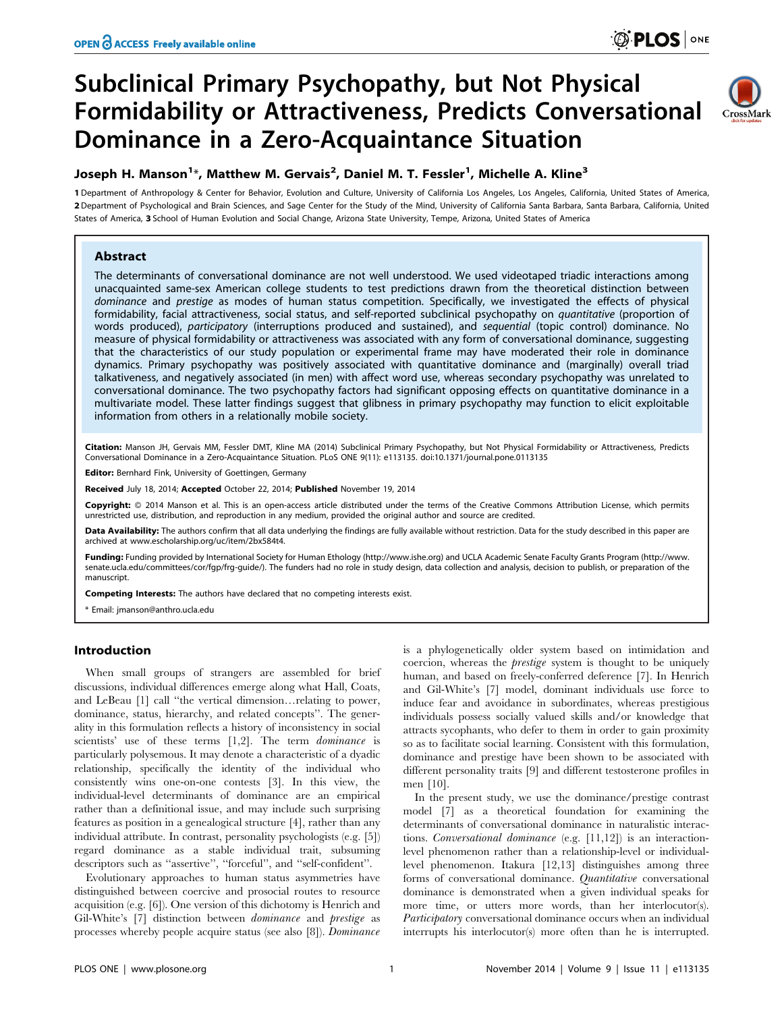# Subclinical Primary Psychopathy, but Not Physical Formidability or Attractiveness, Predicts Conversational Dominance in a Zero-Acquaintance Situation



## Joseph H. Manson<sup>1</sup>\*, Matthew M. Gervais<sup>2</sup>, Daniel M. T. Fessler<sup>1</sup>, Michelle A. Kline<sup>3</sup>

1 Department of Anthropology & Center for Behavior, Evolution and Culture, University of California Los Angeles, Los Angeles, California, United States of America, 2 Department of Psychological and Brain Sciences, and Sage Center for the Study of the Mind, University of California Santa Barbara, Santa Barbara, California, United States of America, 3 School of Human Evolution and Social Change, Arizona State University, Tempe, Arizona, United States of America

## Abstract

The determinants of conversational dominance are not well understood. We used videotaped triadic interactions among unacquainted same-sex American college students to test predictions drawn from the theoretical distinction between dominance and prestige as modes of human status competition. Specifically, we investigated the effects of physical formidability, facial attractiveness, social status, and self-reported subclinical psychopathy on quantitative (proportion of words produced), participatory (interruptions produced and sustained), and sequential (topic control) dominance. No measure of physical formidability or attractiveness was associated with any form of conversational dominance, suggesting that the characteristics of our study population or experimental frame may have moderated their role in dominance dynamics. Primary psychopathy was positively associated with quantitative dominance and (marginally) overall triad talkativeness, and negatively associated (in men) with affect word use, whereas secondary psychopathy was unrelated to conversational dominance. The two psychopathy factors had significant opposing effects on quantitative dominance in a multivariate model. These latter findings suggest that glibness in primary psychopathy may function to elicit exploitable information from others in a relationally mobile society.

Citation: Manson JH, Gervais MM, Fessler DMT, Kline MA (2014) Subclinical Primary Psychopathy, but Not Physical Formidability or Attractiveness, Predicts Conversational Dominance in a Zero-Acquaintance Situation. PLoS ONE 9(11): e113135. doi:10.1371/journal.pone.0113135

Editor: Bernhard Fink, University of Goettingen, Germany

Received July 18, 2014; Accepted October 22, 2014; Published November 19, 2014

Copyright: © 2014 Manson et al. This is an open-access article distributed under the terms of the [Creative Commons Attribution License,](http://creativecommons.org/licenses/by/4.0/) which permits unrestricted use, distribution, and reproduction in any medium, provided the original author and source are credited.

Data Availability: The authors confirm that all data underlying the findings are fully available without restriction. Data for the study described in this paper are archived at [www.escholarship.org/uc/item/2bx584t4.](www.escholarship.org/uc/item/2bx584t4)

Funding: Funding provided by International Society for Human Ethology [\(http://www.](http://www.senate.ucla.edu/committees/cor/fgp/frg-guide/)ishe.org) and UCLA Academic Senate Faculty Grants Program (http://www. [senate.ucla.edu/committees/cor/fgp/frg-guide/\)](http://www.senate.ucla.edu/committees/cor/fgp/frg-guide/). The funders had no role in study design, data collection and analysis, decision to publish, or preparation of the manuscript.

Competing Interests: The authors have declared that no competing interests exist.

\* Email: jmanson@anthro.ucla.edu

## Introduction

When small groups of strangers are assembled for brief discussions, individual differences emerge along what Hall, Coats, and LeBeau [1] call ''the vertical dimension…relating to power, dominance, status, hierarchy, and related concepts''. The generality in this formulation reflects a history of inconsistency in social scientists' use of these terms [1,2]. The term *dominance* is particularly polysemous. It may denote a characteristic of a dyadic relationship, specifically the identity of the individual who consistently wins one-on-one contests [3]. In this view, the individual-level determinants of dominance are an empirical rather than a definitional issue, and may include such surprising features as position in a genealogical structure [4], rather than any individual attribute. In contrast, personality psychologists (e.g. [5]) regard dominance as a stable individual trait, subsuming descriptors such as ''assertive'', ''forceful'', and ''self-confident''.

Evolutionary approaches to human status asymmetries have distinguished between coercive and prosocial routes to resource acquisition (e.g. [6]). One version of this dichotomy is Henrich and Gil-White's [7] distinction between dominance and prestige as processes whereby people acquire status (see also [8]). Dominance is a phylogenetically older system based on intimidation and coercion, whereas the prestige system is thought to be uniquely human, and based on freely-conferred deference [7]. In Henrich and Gil-White's [7] model, dominant individuals use force to induce fear and avoidance in subordinates, whereas prestigious individuals possess socially valued skills and/or knowledge that attracts sycophants, who defer to them in order to gain proximity so as to facilitate social learning. Consistent with this formulation, dominance and prestige have been shown to be associated with different personality traits [9] and different testosterone profiles in men [10].

In the present study, we use the dominance/prestige contrast model [7] as a theoretical foundation for examining the determinants of conversational dominance in naturalistic interactions. Conversational dominance (e.g. [11,12]) is an interactionlevel phenomenon rather than a relationship-level or individuallevel phenomenon. Itakura [12,13] distinguishes among three forms of conversational dominance. Quantitative conversational dominance is demonstrated when a given individual speaks for more time, or utters more words, than her interlocutor(s). Participatory conversational dominance occurs when an individual interrupts his interlocutor(s) more often than he is interrupted.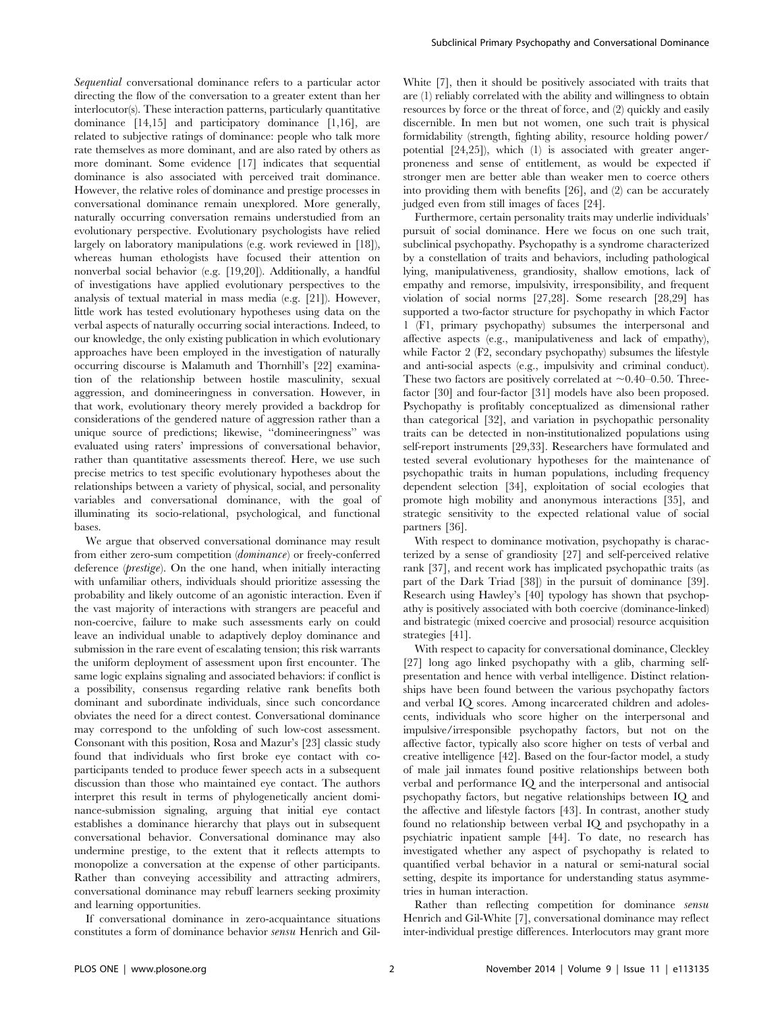Sequential conversational dominance refers to a particular actor directing the flow of the conversation to a greater extent than her interlocutor(s). These interaction patterns, particularly quantitative dominance [14,15] and participatory dominance [1,16], are related to subjective ratings of dominance: people who talk more rate themselves as more dominant, and are also rated by others as more dominant. Some evidence [17] indicates that sequential dominance is also associated with perceived trait dominance. However, the relative roles of dominance and prestige processes in conversational dominance remain unexplored. More generally, naturally occurring conversation remains understudied from an evolutionary perspective. Evolutionary psychologists have relied largely on laboratory manipulations (e.g. work reviewed in [18]), whereas human ethologists have focused their attention on nonverbal social behavior (e.g. [19,20]). Additionally, a handful of investigations have applied evolutionary perspectives to the analysis of textual material in mass media (e.g. [21]). However, little work has tested evolutionary hypotheses using data on the verbal aspects of naturally occurring social interactions. Indeed, to our knowledge, the only existing publication in which evolutionary approaches have been employed in the investigation of naturally occurring discourse is Malamuth and Thornhill's [22] examination of the relationship between hostile masculinity, sexual aggression, and domineeringness in conversation. However, in that work, evolutionary theory merely provided a backdrop for considerations of the gendered nature of aggression rather than a unique source of predictions; likewise, ''domineeringness'' was evaluated using raters' impressions of conversational behavior, rather than quantitative assessments thereof. Here, we use such precise metrics to test specific evolutionary hypotheses about the relationships between a variety of physical, social, and personality variables and conversational dominance, with the goal of illuminating its socio-relational, psychological, and functional bases.

We argue that observed conversational dominance may result from either zero-sum competition (dominance) or freely-conferred deference (prestige). On the one hand, when initially interacting with unfamiliar others, individuals should prioritize assessing the probability and likely outcome of an agonistic interaction. Even if the vast majority of interactions with strangers are peaceful and non-coercive, failure to make such assessments early on could leave an individual unable to adaptively deploy dominance and submission in the rare event of escalating tension; this risk warrants the uniform deployment of assessment upon first encounter. The same logic explains signaling and associated behaviors: if conflict is a possibility, consensus regarding relative rank benefits both dominant and subordinate individuals, since such concordance obviates the need for a direct contest. Conversational dominance may correspond to the unfolding of such low-cost assessment. Consonant with this position, Rosa and Mazur's [23] classic study found that individuals who first broke eye contact with coparticipants tended to produce fewer speech acts in a subsequent discussion than those who maintained eye contact. The authors interpret this result in terms of phylogenetically ancient dominance-submission signaling, arguing that initial eye contact establishes a dominance hierarchy that plays out in subsequent conversational behavior. Conversational dominance may also undermine prestige, to the extent that it reflects attempts to monopolize a conversation at the expense of other participants. Rather than conveying accessibility and attracting admirers, conversational dominance may rebuff learners seeking proximity and learning opportunities.

If conversational dominance in zero-acquaintance situations constitutes a form of dominance behavior sensu Henrich and GilWhite [7], then it should be positively associated with traits that are (1) reliably correlated with the ability and willingness to obtain resources by force or the threat of force, and (2) quickly and easily discernible. In men but not women, one such trait is physical formidability (strength, fighting ability, resource holding power/ potential [24,25]), which (1) is associated with greater angerproneness and sense of entitlement, as would be expected if stronger men are better able than weaker men to coerce others into providing them with benefits [26], and (2) can be accurately judged even from still images of faces [24].

Furthermore, certain personality traits may underlie individuals' pursuit of social dominance. Here we focus on one such trait, subclinical psychopathy. Psychopathy is a syndrome characterized by a constellation of traits and behaviors, including pathological lying, manipulativeness, grandiosity, shallow emotions, lack of empathy and remorse, impulsivity, irresponsibility, and frequent violation of social norms [27,28]. Some research [28,29] has supported a two-factor structure for psychopathy in which Factor 1 (F1, primary psychopathy) subsumes the interpersonal and affective aspects (e.g., manipulativeness and lack of empathy), while Factor 2 (F2, secondary psychopathy) subsumes the lifestyle and anti-social aspects (e.g., impulsivity and criminal conduct). These two factors are positively correlated at  $\sim 0.40-0.50$ . Threefactor [30] and four-factor [31] models have also been proposed. Psychopathy is profitably conceptualized as dimensional rather than categorical [32], and variation in psychopathic personality traits can be detected in non-institutionalized populations using self-report instruments [29,33]. Researchers have formulated and tested several evolutionary hypotheses for the maintenance of psychopathic traits in human populations, including frequency dependent selection [34], exploitation of social ecologies that promote high mobility and anonymous interactions [35], and strategic sensitivity to the expected relational value of social partners [36].

With respect to dominance motivation, psychopathy is characterized by a sense of grandiosity [27] and self-perceived relative rank [37], and recent work has implicated psychopathic traits (as part of the Dark Triad [38]) in the pursuit of dominance [39]. Research using Hawley's [40] typology has shown that psychopathy is positively associated with both coercive (dominance-linked) and bistrategic (mixed coercive and prosocial) resource acquisition strategies [41].

With respect to capacity for conversational dominance, Cleckley [27] long ago linked psychopathy with a glib, charming selfpresentation and hence with verbal intelligence. Distinct relationships have been found between the various psychopathy factors and verbal IQ scores. Among incarcerated children and adolescents, individuals who score higher on the interpersonal and impulsive/irresponsible psychopathy factors, but not on the affective factor, typically also score higher on tests of verbal and creative intelligence [42]. Based on the four-factor model, a study of male jail inmates found positive relationships between both verbal and performance IQ and the interpersonal and antisocial psychopathy factors, but negative relationships between IQ and the affective and lifestyle factors [43]. In contrast, another study found no relationship between verbal IQ and psychopathy in a psychiatric inpatient sample [44]. To date, no research has investigated whether any aspect of psychopathy is related to quantified verbal behavior in a natural or semi-natural social setting, despite its importance for understanding status asymmetries in human interaction.

Rather than reflecting competition for dominance sensu Henrich and Gil-White [7], conversational dominance may reflect inter-individual prestige differences. Interlocutors may grant more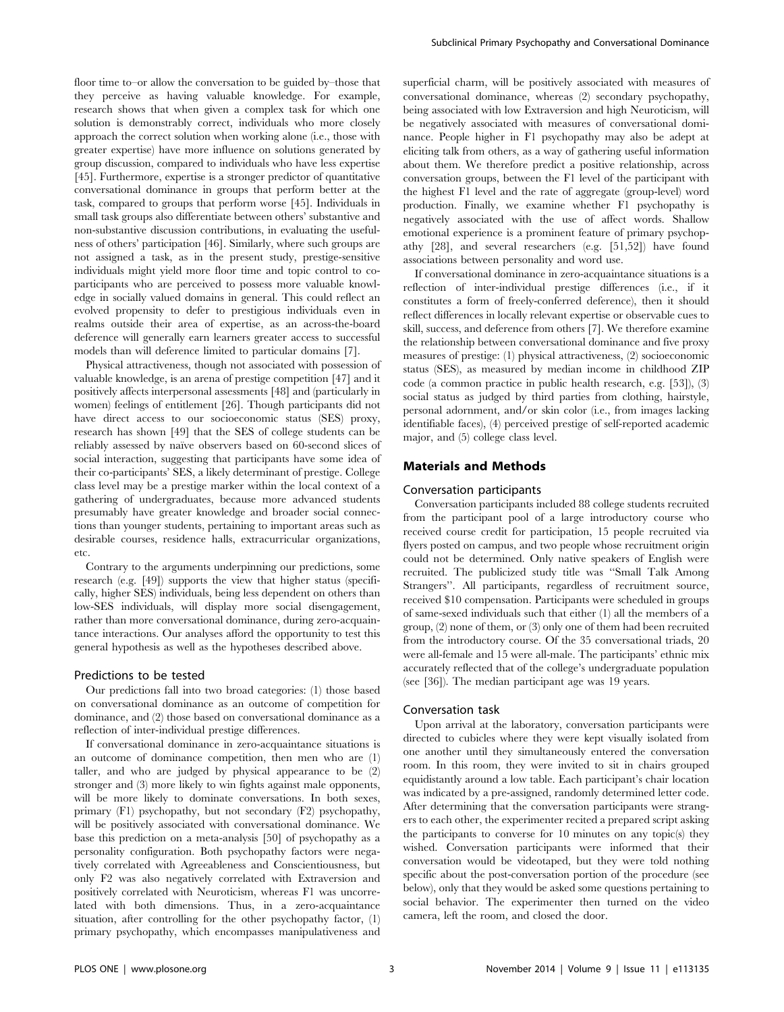floor time to–or allow the conversation to be guided by–those that they perceive as having valuable knowledge. For example, research shows that when given a complex task for which one solution is demonstrably correct, individuals who more closely approach the correct solution when working alone (i.e., those with greater expertise) have more influence on solutions generated by group discussion, compared to individuals who have less expertise [45]. Furthermore, expertise is a stronger predictor of quantitative conversational dominance in groups that perform better at the task, compared to groups that perform worse [45]. Individuals in small task groups also differentiate between others' substantive and non-substantive discussion contributions, in evaluating the usefulness of others' participation [46]. Similarly, where such groups are not assigned a task, as in the present study, prestige-sensitive individuals might yield more floor time and topic control to coparticipants who are perceived to possess more valuable knowledge in socially valued domains in general. This could reflect an evolved propensity to defer to prestigious individuals even in realms outside their area of expertise, as an across-the-board deference will generally earn learners greater access to successful models than will deference limited to particular domains [7].

Physical attractiveness, though not associated with possession of valuable knowledge, is an arena of prestige competition [47] and it positively affects interpersonal assessments [48] and (particularly in women) feelings of entitlement [26]. Though participants did not have direct access to our socioeconomic status (SES) proxy, research has shown [49] that the SES of college students can be reliably assessed by naïve observers based on 60-second slices of social interaction, suggesting that participants have some idea of their co-participants' SES, a likely determinant of prestige. College class level may be a prestige marker within the local context of a gathering of undergraduates, because more advanced students presumably have greater knowledge and broader social connections than younger students, pertaining to important areas such as desirable courses, residence halls, extracurricular organizations, etc.

Contrary to the arguments underpinning our predictions, some research (e.g. [49]) supports the view that higher status (specifically, higher SES) individuals, being less dependent on others than low-SES individuals, will display more social disengagement, rather than more conversational dominance, during zero-acquaintance interactions. Our analyses afford the opportunity to test this general hypothesis as well as the hypotheses described above.

## Predictions to be tested

Our predictions fall into two broad categories: (1) those based on conversational dominance as an outcome of competition for dominance, and (2) those based on conversational dominance as a reflection of inter-individual prestige differences.

If conversational dominance in zero-acquaintance situations is an outcome of dominance competition, then men who are (1) taller, and who are judged by physical appearance to be (2) stronger and (3) more likely to win fights against male opponents, will be more likely to dominate conversations. In both sexes, primary (F1) psychopathy, but not secondary (F2) psychopathy, will be positively associated with conversational dominance. We base this prediction on a meta-analysis [50] of psychopathy as a personality configuration. Both psychopathy factors were negatively correlated with Agreeableness and Conscientiousness, but only F2 was also negatively correlated with Extraversion and positively correlated with Neuroticism, whereas F1 was uncorrelated with both dimensions. Thus, in a zero-acquaintance situation, after controlling for the other psychopathy factor, (1) primary psychopathy, which encompasses manipulativeness and superficial charm, will be positively associated with measures of conversational dominance, whereas (2) secondary psychopathy, being associated with low Extraversion and high Neuroticism, will be negatively associated with measures of conversational dominance. People higher in F1 psychopathy may also be adept at eliciting talk from others, as a way of gathering useful information about them. We therefore predict a positive relationship, across conversation groups, between the F1 level of the participant with the highest F1 level and the rate of aggregate (group-level) word production. Finally, we examine whether F1 psychopathy is negatively associated with the use of affect words. Shallow emotional experience is a prominent feature of primary psychopathy [28], and several researchers (e.g. [51,52]) have found associations between personality and word use.

If conversational dominance in zero-acquaintance situations is a reflection of inter-individual prestige differences (i.e., if it constitutes a form of freely-conferred deference), then it should reflect differences in locally relevant expertise or observable cues to skill, success, and deference from others [7]. We therefore examine the relationship between conversational dominance and five proxy measures of prestige: (1) physical attractiveness, (2) socioeconomic status (SES), as measured by median income in childhood ZIP code (a common practice in public health research, e.g. [53]), (3) social status as judged by third parties from clothing, hairstyle, personal adornment, and/or skin color (i.e., from images lacking identifiable faces), (4) perceived prestige of self-reported academic major, and (5) college class level.

## Materials and Methods

## Conversation participants

Conversation participants included 88 college students recruited from the participant pool of a large introductory course who received course credit for participation, 15 people recruited via flyers posted on campus, and two people whose recruitment origin could not be determined. Only native speakers of English were recruited. The publicized study title was ''Small Talk Among Strangers''. All participants, regardless of recruitment source, received \$10 compensation. Participants were scheduled in groups of same-sexed individuals such that either (1) all the members of a group, (2) none of them, or (3) only one of them had been recruited from the introductory course. Of the 35 conversational triads, 20 were all-female and 15 were all-male. The participants' ethnic mix accurately reflected that of the college's undergraduate population (see [36]). The median participant age was 19 years.

#### Conversation task

Upon arrival at the laboratory, conversation participants were directed to cubicles where they were kept visually isolated from one another until they simultaneously entered the conversation room. In this room, they were invited to sit in chairs grouped equidistantly around a low table. Each participant's chair location was indicated by a pre-assigned, randomly determined letter code. After determining that the conversation participants were strangers to each other, the experimenter recited a prepared script asking the participants to converse for 10 minutes on any topic(s) they wished. Conversation participants were informed that their conversation would be videotaped, but they were told nothing specific about the post-conversation portion of the procedure (see below), only that they would be asked some questions pertaining to social behavior. The experimenter then turned on the video camera, left the room, and closed the door.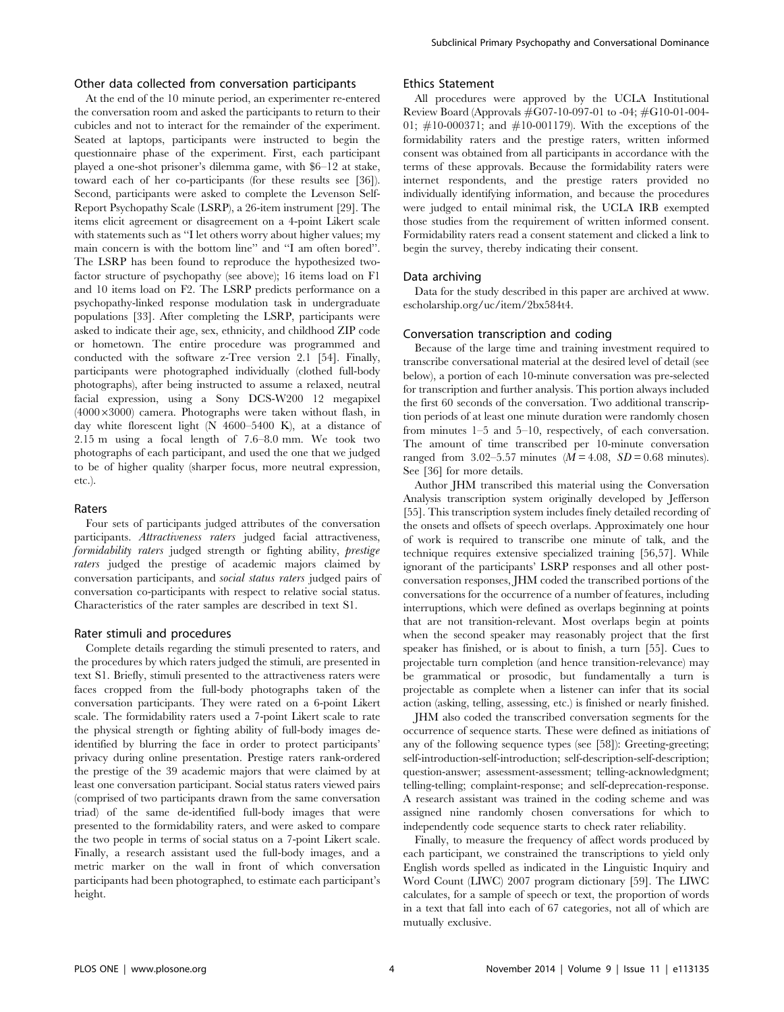## Other data collected from conversation participants

At the end of the 10 minute period, an experimenter re-entered the conversation room and asked the participants to return to their cubicles and not to interact for the remainder of the experiment. Seated at laptops, participants were instructed to begin the questionnaire phase of the experiment. First, each participant played a one-shot prisoner's dilemma game, with \$6–12 at stake, toward each of her co-participants (for these results see [36]). Second, participants were asked to complete the Levenson Self-Report Psychopathy Scale (LSRP), a 26-item instrument [29]. The items elicit agreement or disagreement on a 4-point Likert scale with statements such as ''I let others worry about higher values; my main concern is with the bottom line'' and ''I am often bored''. The LSRP has been found to reproduce the hypothesized twofactor structure of psychopathy (see above); 16 items load on F1 and 10 items load on F2. The LSRP predicts performance on a psychopathy-linked response modulation task in undergraduate populations [33]. After completing the LSRP, participants were asked to indicate their age, sex, ethnicity, and childhood ZIP code or hometown. The entire procedure was programmed and conducted with the software z-Tree version 2.1 [54]. Finally, participants were photographed individually (clothed full-body photographs), after being instructed to assume a relaxed, neutral facial expression, using a Sony DCS-W200 12 megapixel  $(4000\times3000)$  camera. Photographs were taken without flash, in day white florescent light (N 4600–5400 K), at a distance of 2.15 m using a focal length of 7.6–8.0 mm. We took two photographs of each participant, and used the one that we judged to be of higher quality (sharper focus, more neutral expression, etc.).

## Raters

Four sets of participants judged attributes of the conversation participants. Attractiveness raters judged facial attractiveness, formidability raters judged strength or fighting ability, prestige raters judged the prestige of academic majors claimed by conversation participants, and social status raters judged pairs of conversation co-participants with respect to relative social status. Characteristics of the rater samples are described in text S1.

## Rater stimuli and procedures

Complete details regarding the stimuli presented to raters, and the procedures by which raters judged the stimuli, are presented in text S1. Briefly, stimuli presented to the attractiveness raters were faces cropped from the full-body photographs taken of the conversation participants. They were rated on a 6-point Likert scale. The formidability raters used a 7-point Likert scale to rate the physical strength or fighting ability of full-body images deidentified by blurring the face in order to protect participants' privacy during online presentation. Prestige raters rank-ordered the prestige of the 39 academic majors that were claimed by at least one conversation participant. Social status raters viewed pairs (comprised of two participants drawn from the same conversation triad) of the same de-identified full-body images that were presented to the formidability raters, and were asked to compare the two people in terms of social status on a 7-point Likert scale. Finally, a research assistant used the full-body images, and a metric marker on the wall in front of which conversation participants had been photographed, to estimate each participant's height.

## Ethics Statement

All procedures were approved by the UCLA Institutional Review Board (Approvals #G07-10-097-01 to -04; #G10-01-004- 01; #10-000371; and #10-001179). With the exceptions of the formidability raters and the prestige raters, written informed consent was obtained from all participants in accordance with the terms of these approvals. Because the formidability raters were internet respondents, and the prestige raters provided no individually identifying information, and because the procedures were judged to entail minimal risk, the UCLA IRB exempted those studies from the requirement of written informed consent. Formidability raters read a consent statement and clicked a link to begin the survey, thereby indicating their consent.

## Data archiving

Data for the study described in this paper are archived at [www.](www.escholarship.org/uc/item/2bx584t4) [escholarship.org/uc/item/2bx584t4.](www.escholarship.org/uc/item/2bx584t4)

## Conversation transcription and coding

Because of the large time and training investment required to transcribe conversational material at the desired level of detail (see below), a portion of each 10-minute conversation was pre-selected for transcription and further analysis. This portion always included the first 60 seconds of the conversation. Two additional transcription periods of at least one minute duration were randomly chosen from minutes 1–5 and 5–10, respectively, of each conversation. The amount of time transcribed per 10-minute conversation ranged from 3.02–5.57 minutes  $(M = 4.08, SD = 0.68$  minutes). See [36] for more details.

Author JHM transcribed this material using the Conversation Analysis transcription system originally developed by Jefferson [55]. This transcription system includes finely detailed recording of the onsets and offsets of speech overlaps. Approximately one hour of work is required to transcribe one minute of talk, and the technique requires extensive specialized training [56,57]. While ignorant of the participants' LSRP responses and all other postconversation responses, JHM coded the transcribed portions of the conversations for the occurrence of a number of features, including interruptions, which were defined as overlaps beginning at points that are not transition-relevant. Most overlaps begin at points when the second speaker may reasonably project that the first speaker has finished, or is about to finish, a turn [55]. Cues to projectable turn completion (and hence transition-relevance) may be grammatical or prosodic, but fundamentally a turn is projectable as complete when a listener can infer that its social action (asking, telling, assessing, etc.) is finished or nearly finished.

JHM also coded the transcribed conversation segments for the occurrence of sequence starts. These were defined as initiations of any of the following sequence types (see [58]): Greeting-greeting; self-introduction-self-introduction; self-description-self-description; question-answer; assessment-assessment; telling-acknowledgment; telling-telling; complaint-response; and self-deprecation-response. A research assistant was trained in the coding scheme and was assigned nine randomly chosen conversations for which to independently code sequence starts to check rater reliability.

Finally, to measure the frequency of affect words produced by each participant, we constrained the transcriptions to yield only English words spelled as indicated in the Linguistic Inquiry and Word Count (LIWC) 2007 program dictionary [59]. The LIWC calculates, for a sample of speech or text, the proportion of words in a text that fall into each of 67 categories, not all of which are mutually exclusive.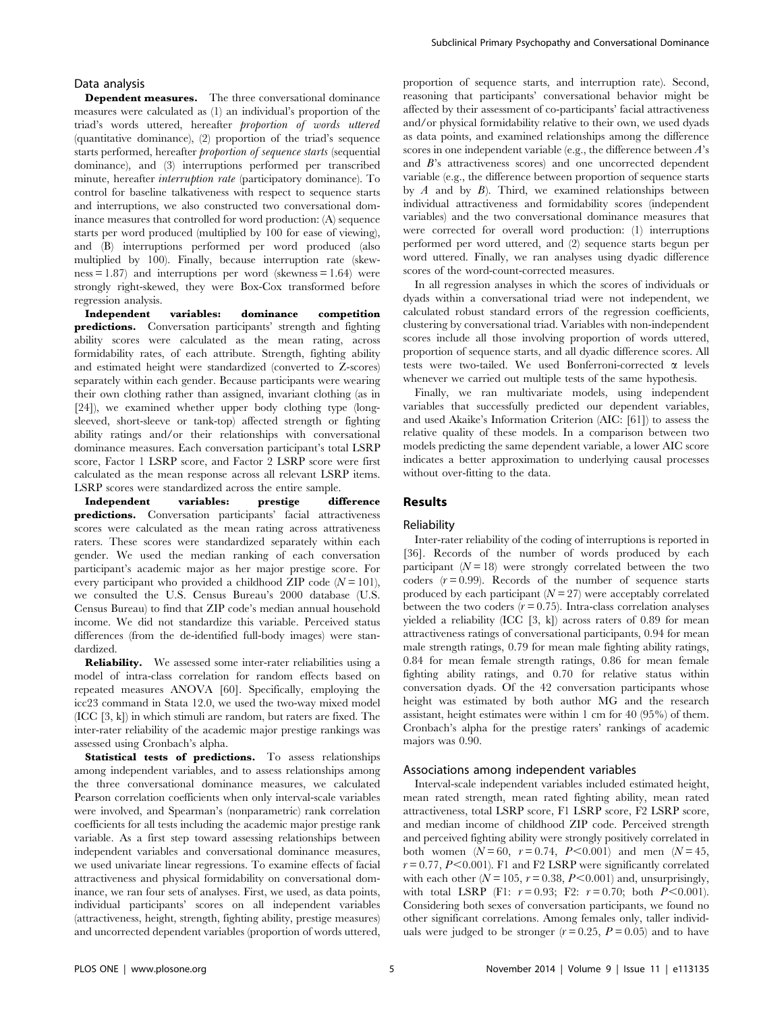## Data analysis

Dependent measures. The three conversational dominance measures were calculated as (1) an individual's proportion of the triad's words uttered, hereafter proportion of words uttered (quantitative dominance), (2) proportion of the triad's sequence starts performed, hereafter proportion of sequence starts (sequential dominance), and (3) interruptions performed per transcribed minute, hereafter interruption rate (participatory dominance). To control for baseline talkativeness with respect to sequence starts and interruptions, we also constructed two conversational dominance measures that controlled for word production: (A) sequence starts per word produced (multiplied by 100 for ease of viewing), and (B) interruptions performed per word produced (also multiplied by 100). Finally, because interruption rate (skew $ness = 1.87$  and interruptions per word (skewness = 1.64) were strongly right-skewed, they were Box-Cox transformed before regression analysis.

Independent variables: dominance competition predictions. Conversation participants' strength and fighting ability scores were calculated as the mean rating, across formidability rates, of each attribute. Strength, fighting ability and estimated height were standardized (converted to Z-scores) separately within each gender. Because participants were wearing their own clothing rather than assigned, invariant clothing (as in [24]), we examined whether upper body clothing type (longsleeved, short-sleeve or tank-top) affected strength or fighting ability ratings and/or their relationships with conversational dominance measures. Each conversation participant's total LSRP score, Factor 1 LSRP score, and Factor 2 LSRP score were first calculated as the mean response across all relevant LSRP items. LSRP scores were standardized across the entire sample.

Independent variables: prestige difference predictions. Conversation participants' facial attractiveness scores were calculated as the mean rating across attrativeness raters. These scores were standardized separately within each gender. We used the median ranking of each conversation participant's academic major as her major prestige score. For every participant who provided a childhood ZIP code  $(N = 101)$ , we consulted the U.S. Census Bureau's 2000 database (U.S. Census Bureau) to find that ZIP code's median annual household income. We did not standardize this variable. Perceived status differences (from the de-identified full-body images) were standardized.

Reliability. We assessed some inter-rater reliabilities using a model of intra-class correlation for random effects based on repeated measures ANOVA [60]. Specifically, employing the icc23 command in Stata 12.0, we used the two-way mixed model (ICC [3, k]) in which stimuli are random, but raters are fixed. The inter-rater reliability of the academic major prestige rankings was assessed using Cronbach's alpha.

Statistical tests of predictions. To assess relationships among independent variables, and to assess relationships among the three conversational dominance measures, we calculated Pearson correlation coefficients when only interval-scale variables were involved, and Spearman's (nonparametric) rank correlation coefficients for all tests including the academic major prestige rank variable. As a first step toward assessing relationships between independent variables and conversational dominance measures, we used univariate linear regressions. To examine effects of facial attractiveness and physical formidability on conversational dominance, we ran four sets of analyses. First, we used, as data points, individual participants' scores on all independent variables (attractiveness, height, strength, fighting ability, prestige measures) and uncorrected dependent variables (proportion of words uttered, proportion of sequence starts, and interruption rate). Second, reasoning that participants' conversational behavior might be affected by their assessment of co-participants' facial attractiveness and/or physical formidability relative to their own, we used dyads as data points, and examined relationships among the difference scores in one independent variable (e.g., the difference between  $A$ 's and B's attractiveness scores) and one uncorrected dependent variable (e.g., the difference between proportion of sequence starts by  $A$  and by  $B$ ). Third, we examined relationships between individual attractiveness and formidability scores (independent variables) and the two conversational dominance measures that were corrected for overall word production: (1) interruptions performed per word uttered, and (2) sequence starts begun per word uttered. Finally, we ran analyses using dyadic difference scores of the word-count-corrected measures.

In all regression analyses in which the scores of individuals or dyads within a conversational triad were not independent, we calculated robust standard errors of the regression coefficients, clustering by conversational triad. Variables with non-independent scores include all those involving proportion of words uttered, proportion of sequence starts, and all dyadic difference scores. All tests were two-tailed. We used Bonferroni-corrected  $\alpha$  levels whenever we carried out multiple tests of the same hypothesis.

Finally, we ran multivariate models, using independent variables that successfully predicted our dependent variables, and used Akaike's Information Criterion (AIC: [61]) to assess the relative quality of these models. In a comparison between two models predicting the same dependent variable, a lower AIC score indicates a better approximation to underlying causal processes without over-fitting to the data.

## Results

## Reliability

Inter-rater reliability of the coding of interruptions is reported in [36]. Records of the number of words produced by each participant  $(N = 18)$  were strongly correlated between the two coders  $(r=0.99)$ . Records of the number of sequence starts produced by each participant  $(N = 27)$  were acceptably correlated between the two coders  $(r= 0.75)$ . Intra-class correlation analyses yielded a reliability (ICC [3, k]) across raters of 0.89 for mean attractiveness ratings of conversational participants, 0.94 for mean male strength ratings, 0.79 for mean male fighting ability ratings, 0.84 for mean female strength ratings, 0.86 for mean female fighting ability ratings, and 0.70 for relative status within conversation dyads. Of the 42 conversation participants whose height was estimated by both author MG and the research assistant, height estimates were within 1 cm for 40 (95%) of them. Cronbach's alpha for the prestige raters' rankings of academic majors was 0.90.

## Associations among independent variables

Interval-scale independent variables included estimated height, mean rated strength, mean rated fighting ability, mean rated attractiveness, total LSRP score, F1 LSRP score, F2 LSRP score, and median income of childhood ZIP code. Perceived strength and perceived fighting ability were strongly positively correlated in both women  $(N = 60, r = 0.74, P < 0.001)$  and men  $(N = 45,$  $r = 0.77$ ,  $P \le 0.001$ ). F1 and F2 LSRP were significantly correlated with each other  $(N = 105, r = 0.38, P \le 0.001)$  and, unsurprisingly, with total LSRP (F1:  $r = 0.93$ ; F2:  $r = 0.70$ ; both  $P \le 0.001$ ). Considering both sexes of conversation participants, we found no other significant correlations. Among females only, taller individuals were judged to be stronger  $(r=0.25, P=0.05)$  and to have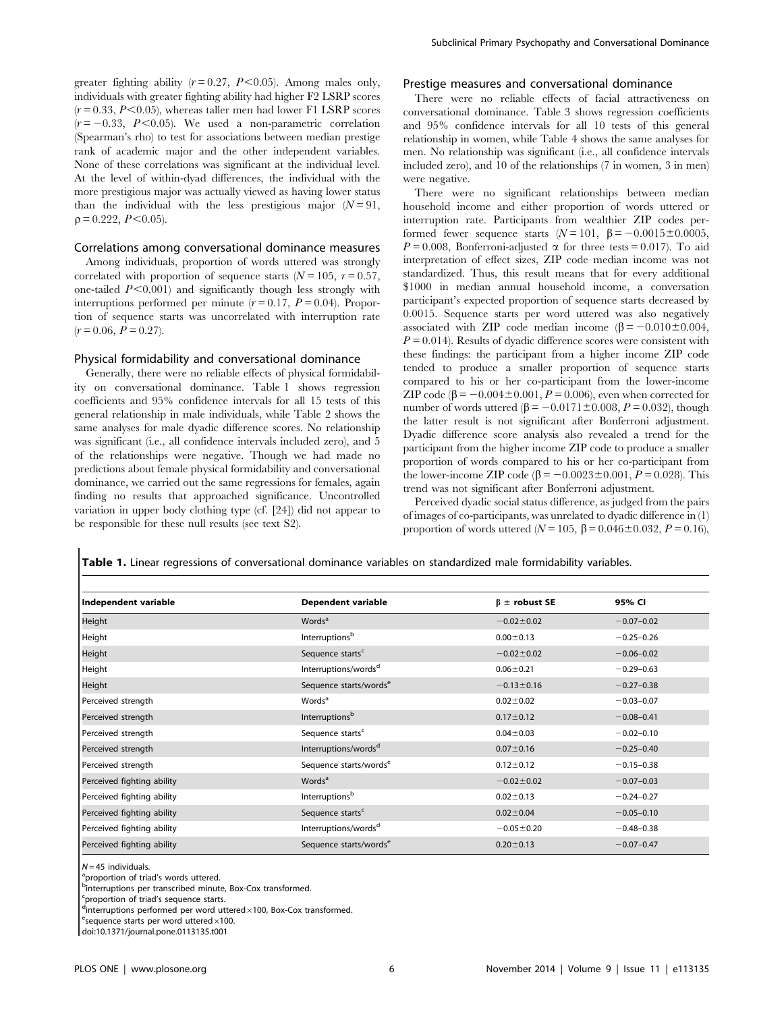greater fighting ability  $(r = 0.27, P \le 0.05)$ . Among males only, individuals with greater fighting ability had higher F2 LSRP scores  $(r = 0.33, P \le 0.05)$ , whereas taller men had lower F1 LSRP scores  $(r = -0.33, P < 0.05)$ . We used a non-parametric correlation (Spearman's rho) to test for associations between median prestige rank of academic major and the other independent variables. None of these correlations was significant at the individual level. At the level of within-dyad differences, the individual with the more prestigious major was actually viewed as having lower status than the individual with the less prestigious major  $(N = 91$ ,  $p = 0.222$ ,  $P \le 0.05$ ).

#### Correlations among conversational dominance measures

Among individuals, proportion of words uttered was strongly correlated with proportion of sequence starts  $(N = 105, r = 0.57,$ one-tailed  $P<0.001$ ) and significantly though less strongly with interruptions performed per minute  $(r = 0.17, P = 0.04)$ . Proportion of sequence starts was uncorrelated with interruption rate  $(r = 0.06, P = 0.27).$ 

## Physical formidability and conversational dominance

Generally, there were no reliable effects of physical formidability on conversational dominance. Table 1 shows regression coefficients and 95% confidence intervals for all 15 tests of this general relationship in male individuals, while Table 2 shows the same analyses for male dyadic difference scores. No relationship was significant (i.e., all confidence intervals included zero), and 5 of the relationships were negative. Though we had made no predictions about female physical formidability and conversational dominance, we carried out the same regressions for females, again finding no results that approached significance. Uncontrolled variation in upper body clothing type (cf. [24]) did not appear to be responsible for these null results (see text S2).

## Prestige measures and conversational dominance

There were no reliable effects of facial attractiveness on conversational dominance. Table 3 shows regression coefficients and 95% confidence intervals for all 10 tests of this general relationship in women, while Table 4 shows the same analyses for men. No relationship was significant (i.e., all confidence intervals included zero), and 10 of the relationships (7 in women, 3 in men) were negative.

There were no significant relationships between median household income and either proportion of words uttered or interruption rate. Participants from wealthier ZIP codes performed fewer sequence starts  $(N = 101, \beta = -0.0015 \pm 0.0005,$  $P = 0.008$ , Bonferroni-adjusted  $\alpha$  for three tests = 0.017). To aid interpretation of effect sizes, ZIP code median income was not standardized. Thus, this result means that for every additional \$1000 in median annual household income, a conversation participant's expected proportion of sequence starts decreased by 0.0015. Sequence starts per word uttered was also negatively associated with ZIP code median income  $(\beta = -0.010 \pm 0.004$ ,  $P = 0.014$ ). Results of dyadic difference scores were consistent with these findings: the participant from a higher income ZIP code tended to produce a smaller proportion of sequence starts compared to his or her co-participant from the lower-income ZIP code  $(\beta = -0.004 \pm 0.001, P = 0.006)$ , even when corrected for number of words uttered  $(\beta = -0.0171 \pm 0.008, P = 0.032)$ , though the latter result is not significant after Bonferroni adjustment. Dyadic difference score analysis also revealed a trend for the participant from the higher income ZIP code to produce a smaller proportion of words compared to his or her co-participant from the lower-income ZIP code ( $\beta$  = -0.0023±0.001, P = 0.028). This trend was not significant after Bonferroni adjustment.

Perceived dyadic social status difference, as judged from the pairs of images of co-participants, was unrelated to dyadic difference in (1) proportion of words uttered ( $N = 105$ ,  $\beta = 0.046 \pm 0.032$ ,  $P = 0.16$ ),

Table 1. Linear regressions of conversational dominance variables on standardized male formidability variables.

| Independent variable       | <b>Dependent variable</b>          | $\beta$ ± robust SE | 95% CI         |
|----------------------------|------------------------------------|---------------------|----------------|
| Height                     | Words <sup>a</sup>                 | $-0.02 \pm 0.02$    | $-0.07 - 0.02$ |
| Height                     | Interruptions <sup>b</sup>         | $0.00 \pm 0.13$     | $-0.25 - 0.26$ |
| Height                     | Sequence starts <sup>c</sup>       | $-0.02 \pm 0.02$    | $-0.06 - 0.02$ |
| Height                     | Interruptions/words <sup>d</sup>   | $0.06 \pm 0.21$     | $-0.29 - 0.63$ |
| Height                     | Sequence starts/words <sup>e</sup> | $-0.13 \pm 0.16$    | $-0.27 - 0.38$ |
| Perceived strength         | Words <sup>a</sup>                 | $0.02 + 0.02$       | $-0.03 - 0.07$ |
| Perceived strength         | Interruptions <sup>b</sup>         | $0.17 \pm 0.12$     | $-0.08 - 0.41$ |
| Perceived strength         | Sequence starts <sup>c</sup>       | $0.04 + 0.03$       | $-0.02 - 0.10$ |
| Perceived strength         | Interruptions/words <sup>d</sup>   | $0.07 \pm 0.16$     | $-0.25 - 0.40$ |
| Perceived strength         | Sequence starts/words <sup>e</sup> | $0.12 \pm 0.12$     | $-0.15 - 0.38$ |
| Perceived fighting ability | Words <sup>a</sup>                 | $-0.02 \pm 0.02$    | $-0.07 - 0.03$ |
| Perceived fighting ability | Interruptions <sup>b</sup>         | $0.02 \pm 0.13$     | $-0.24 - 0.27$ |
| Perceived fighting ability | Sequence starts <sup>c</sup>       | $0.02 \pm 0.04$     | $-0.05 - 0.10$ |
| Perceived fighting ability | Interruptions/words <sup>d</sup>   | $-0.05 \pm 0.20$    | $-0.48 - 0.38$ |
| Perceived fighting ability | Sequence starts/words <sup>e</sup> | $0.20 \pm 0.13$     | $-0.07 - 0.47$ |

N=45 individuals.<br><sup>a</sup>proportion of triad's words uttered.

**binterruptions per transcribed minute, Box-Cox transformed.** 

c proportion of triad's sequence starts.

dinterruptions performed per word uttered×100, Box-Cox transformed.<br>Economics starts per word uttered×100.

 $\epsilon$  sequence starts per word uttered $\times$ 100.

doi:10.1371/journal.pone.0113135.t001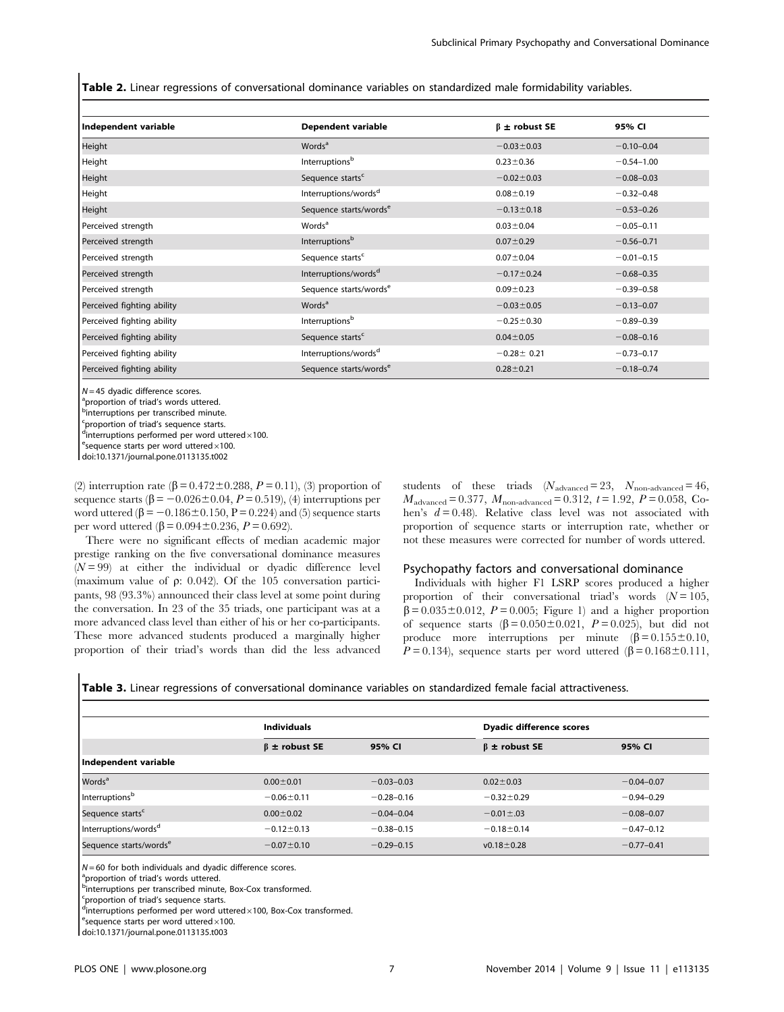Table 2. Linear regressions of conversational dominance variables on standardized male formidability variables.

| Independent variable       | <b>Dependent variable</b>          | $\beta$ ± robust SE | 95% CI         |
|----------------------------|------------------------------------|---------------------|----------------|
| Height                     | Words <sup>a</sup>                 | $-0.03 \pm 0.03$    | $-0.10 - 0.04$ |
| Height                     | Interruptions <sup>b</sup>         | $0.23 \pm 0.36$     | $-0.54 - 1.00$ |
| Height                     | Sequence starts <sup>c</sup>       | $-0.02 \pm 0.03$    | $-0.08 - 0.03$ |
| Height                     | Interruptions/words <sup>d</sup>   | $0.08 + 0.19$       | $-0.32 - 0.48$ |
| Height                     | Sequence starts/words <sup>e</sup> | $-0.13 \pm 0.18$    | $-0.53 - 0.26$ |
| Perceived strength         | Words <sup>a</sup>                 | $0.03 \pm 0.04$     | $-0.05 - 0.11$ |
| Perceived strength         | Interruptions <sup>b</sup>         | $0.07 \pm 0.29$     | $-0.56 - 0.71$ |
| Perceived strength         | Sequence starts <sup>c</sup>       | $0.07 + 0.04$       | $-0.01 - 0.15$ |
| Perceived strength         | Interruptions/words <sup>d</sup>   | $-0.17 \pm 0.24$    | $-0.68 - 0.35$ |
| Perceived strength         | Sequence starts/words <sup>e</sup> | $0.09 + 0.23$       | $-0.39 - 0.58$ |
| Perceived fighting ability | Words <sup>a</sup>                 | $-0.03 \pm 0.05$    | $-0.13 - 0.07$ |
| Perceived fighting ability | Interruptions <sup>b</sup>         | $-0.25 \pm 0.30$    | $-0.89 - 0.39$ |
| Perceived fighting ability | Sequence starts <sup>c</sup>       | $0.04 \pm 0.05$     | $-0.08 - 0.16$ |
| Perceived fighting ability | Interruptions/words <sup>d</sup>   | $-0.28 \pm 0.21$    | $-0.73 - 0.17$ |
| Perceived fighting ability | Sequence starts/words <sup>e</sup> | $0.28 + 0.21$       | $-0.18 - 0.74$ |

 $N = 45$  dyadic difference scores.

<sup>a</sup>proportion of triad's words uttered.

**b**interruptions per transcribed minute.

<sup>c</sup>proportion of triad's sequence starts.

dinterruptions performed per word uttered  $\times$ 100.

 $e$ sequence starts per word uttered $\times$ 100.

doi:10.1371/journal.pone.0113135.t002

(2) interruption rate  $(\beta = 0.472 \pm 0.288, P = 0.11)$ , (3) proportion of sequence starts  $(\beta = -0.026 \pm 0.04, P = 0.519)$ , (4) interruptions per word uttered ( $\beta$  = -0.186 $\pm$ 0.150, P = 0.224) and (5) sequence starts per word uttered  $(\beta = 0.094 \pm 0.236, P = 0.692)$ .

There were no significant effects of median academic major prestige ranking on the five conversational dominance measures  $(N = 99)$  at either the individual or dyadic difference level (maximum value of  $\rho$ : 0.042). Of the 105 conversation participants, 98 (93.3%) announced their class level at some point during the conversation. In 23 of the 35 triads, one participant was at a more advanced class level than either of his or her co-participants. These more advanced students produced a marginally higher proportion of their triad's words than did the less advanced students of these triads  $(N_{\text{advanced}}= 23, \ N_{\text{non-advanced}}= 46,$  $M_{\text{advanced}} = 0.377, M_{\text{non-advanced}} = 0.312, t = 1.92, P = 0.058, Co$ hen's  $d = 0.48$ ). Relative class level was not associated with proportion of sequence starts or interruption rate, whether or not these measures were corrected for number of words uttered.

## Psychopathy factors and conversational dominance

Individuals with higher F1 LSRP scores produced a higher proportion of their conversational triad's words  $(N = 105,$  $\beta = 0.035 \pm 0.012$ ,  $P = 0.005$ ; Figure 1) and a higher proportion of sequence starts  $(\beta = 0.050 \pm 0.021, P = 0.025)$ , but did not produce more interruptions per minute  $(\beta = 0.155 \pm 0.10,$  $P = 0.134$ ), sequence starts per word uttered ( $\beta = 0.168 \pm 0.111$ ,

|  |  | <b>Table 3.</b> Linear regressions of conversational dominance variables on standardized female facial attractiveness. |  |  |  |  |  |
|--|--|------------------------------------------------------------------------------------------------------------------------|--|--|--|--|--|
|--|--|------------------------------------------------------------------------------------------------------------------------|--|--|--|--|--|

|                                    | <b>Individuals</b>  |                |                     | Dyadic difference scores |  |  |
|------------------------------------|---------------------|----------------|---------------------|--------------------------|--|--|
|                                    | $\beta$ ± robust SE | 95% CI         | $\beta$ ± robust SE | 95% CI                   |  |  |
| Independent variable               |                     |                |                     |                          |  |  |
| <b>Words</b> <sup>a</sup>          | $0.00 \pm 0.01$     | $-0.03 - 0.03$ | $0.02 \pm 0.03$     | $-0.04 - 0.07$           |  |  |
| Interruptionsb                     | $-0.06 \pm 0.11$    | $-0.28 - 0.16$ | $-0.32 \pm 0.29$    | $-0.94 - 0.29$           |  |  |
| Sequence starts <sup>c</sup>       | $0.00 + 0.02$       | $-0.04 - 0.04$ | $-0.01 \pm .03$     | $-0.08 - 0.07$           |  |  |
| Interruptions/words <sup>d</sup>   | $-0.12 \pm 0.13$    | $-0.38 - 0.15$ | $-0.18 \pm 0.14$    | $-0.47 - 0.12$           |  |  |
| Sequence starts/words <sup>e</sup> | $-0.07 \pm 0.10$    | $-0.29 - 0.15$ | $v0.18 \pm 0.28$    | $-0.77 - 0.41$           |  |  |

 $N = 60$  for both individuals and dyadic difference scores.

<sup>a</sup>proportion of triad's words uttered.

 $\overline{\phantom{a}}$ 

**b**interruptions per transcribed minute, Box-Cox transformed.

<sup>c</sup>proportion of triad's sequence starts.

dinterruptions performed per word uttered×100, Box-Cox transformed.<br>Esequence starts per word uttered×100

 $e$ <sup>e</sup>sequence starts per word uttered $\times$ 100.

doi:10.1371/journal.pone.0113135.t003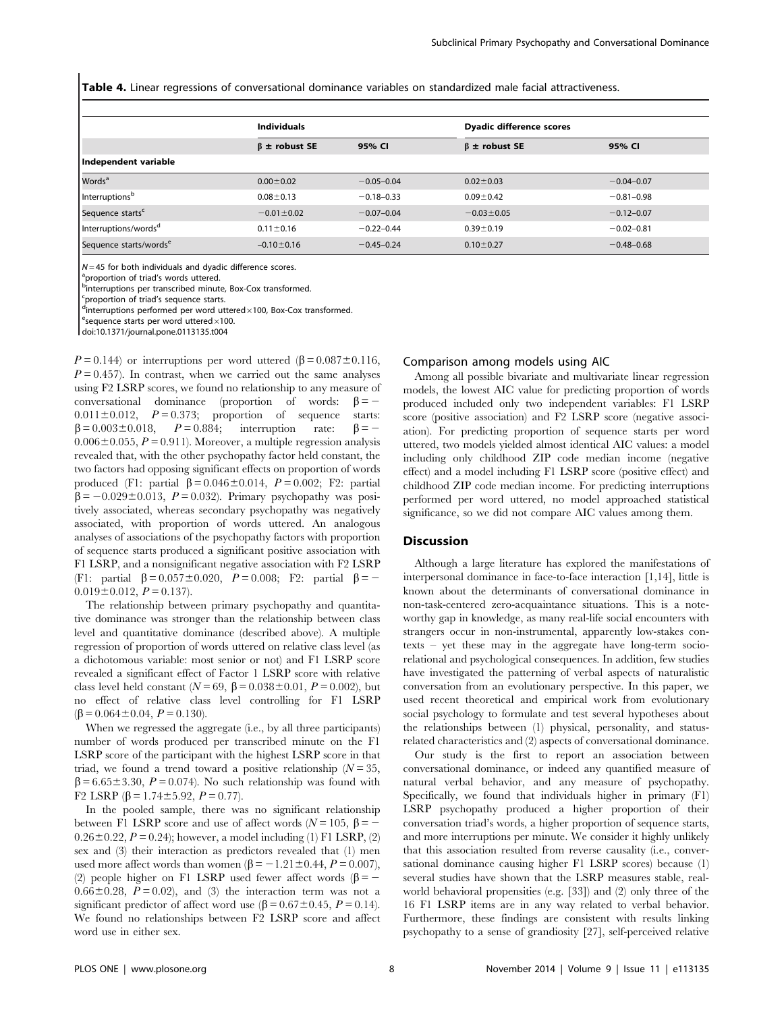Table 4. Linear regressions of conversational dominance variables on standardized male facial attractiveness.

|                                    | <b>Individuals</b>  |                | Dyadic difference scores |                |  |
|------------------------------------|---------------------|----------------|--------------------------|----------------|--|
|                                    | $\beta$ ± robust SE | 95% CI         | $\beta$ ± robust SE      | 95% CI         |  |
| Independent variable               |                     |                |                          |                |  |
| <b>Words</b> <sup>a</sup>          | $0.00 \pm 0.02$     | $-0.05 - 0.04$ | $0.02 \pm 0.03$          | $-0.04 - 0.07$ |  |
| Interruptionsb                     | $0.08 + 0.13$       | $-0.18 - 0.33$ | $0.09 \pm 0.42$          | $-0.81 - 0.98$ |  |
| Sequence starts <sup>c</sup>       | $-0.01 \pm 0.02$    | $-0.07 - 0.04$ | $-0.03 \pm 0.05$         | $-0.12 - 0.07$ |  |
| Interruptions/words <sup>d</sup>   | $0.11 \pm 0.16$     | $-0.22 - 0.44$ | $0.39 + 0.19$            | $-0.02 - 0.81$ |  |
| Sequence starts/words <sup>e</sup> | $-0.10 \pm 0.16$    | $-0.45 - 0.24$ | $0.10 \pm 0.27$          | $-0.48 - 0.68$ |  |

 $N = 45$  for both individuals and dyadic difference scores.

aproportion of triad's words uttered.

**binterruptions per transcribed minute, Box-Cox transformed.** 

<sup>c</sup>proportion of triad's sequence starts.

dinterruptions performed per word uttered×100, Box-Cox transformed.<br>Esequence starts per word uttered×100

 $e$ sequence starts per word uttered $\times$ 100.

doi:10.1371/journal.pone.0113135.t004

 $P = 0.144$ ) or interruptions per word uttered ( $\beta = 0.087 \pm 0.116$ ,  $P = 0.457$ ). In contrast, when we carried out the same analyses using F2 LSRP scores, we found no relationship to any measure of conversational dominance (proportion of words:  $\beta = 0.011 \pm 0.012$ ,  $P = 0.373$ ; proportion of sequence starts:  $\beta = 0.003 \pm 0.018$ ,  $P = 0.884$ ; interruption rate:  $\beta = 0.006\pm0.055$ ,  $P= 0.911$ ). Moreover, a multiple regression analysis revealed that, with the other psychopathy factor held constant, the two factors had opposing significant effects on proportion of words produced (F1: partial  $\beta = 0.046 \pm 0.014$ ,  $P = 0.002$ ; F2: partial  $\beta$  = -0.029±0.013, P = 0.032). Primary psychopathy was positively associated, whereas secondary psychopathy was negatively associated, with proportion of words uttered. An analogous analyses of associations of the psychopathy factors with proportion of sequence starts produced a significant positive association with F1 LSRP, and a nonsignificant negative association with F2 LSRP (F1: partial  $\beta = 0.057 \pm 0.020$ ,  $P = 0.008$ ; F2: partial  $\beta = 0.019 \pm 0.012$ ,  $P = 0.137$ ).

The relationship between primary psychopathy and quantitative dominance was stronger than the relationship between class level and quantitative dominance (described above). A multiple regression of proportion of words uttered on relative class level (as a dichotomous variable: most senior or not) and F1 LSRP score revealed a significant effect of Factor 1 LSRP score with relative class level held constant ( $N = 69$ ,  $\beta = 0.038 \pm 0.01$ ,  $P = 0.002$ ), but no effect of relative class level controlling for F1 LSRP  $(\beta = 0.064 \pm 0.04, P = 0.130).$ 

When we regressed the aggregate (i.e., by all three participants) number of words produced per transcribed minute on the F1 LSRP score of the participant with the highest LSRP score in that triad, we found a trend toward a positive relationship  $(N = 35)$ ,  $\beta$  = 6.65 ± 3.30, P = 0.074). No such relationship was found with F2 LSRP  $(\beta = 1.74 \pm 5.92, P = 0.77)$ .

In the pooled sample, there was no significant relationship between F1 LSRP score and use of affect words  $(N = 105, \beta = -100)$  $0.26 \pm 0.22$ ,  $P = 0.24$ ; however, a model including (1) F1 LSRP, (2) sex and (3) their interaction as predictors revealed that (1) men used more affect words than women ( $\beta$  = -1.21±0.44, P = 0.007), (2) people higher on F1 LSRP used fewer affect words ( $\beta$  = - $0.66\pm0.28$ ,  $P= 0.02$ ), and (3) the interaction term was not a significant predictor of affect word use  $(\beta = 0.67 \pm 0.45, P = 0.14)$ . We found no relationships between F2 LSRP score and affect word use in either sex.

## Comparison among models using AIC

Among all possible bivariate and multivariate linear regression models, the lowest AIC value for predicting proportion of words produced included only two independent variables: F1 LSRP score (positive association) and F2 LSRP score (negative association). For predicting proportion of sequence starts per word uttered, two models yielded almost identical AIC values: a model including only childhood ZIP code median income (negative effect) and a model including F1 LSRP score (positive effect) and childhood ZIP code median income. For predicting interruptions performed per word uttered, no model approached statistical significance, so we did not compare AIC values among them.

## **Discussion**

Although a large literature has explored the manifestations of interpersonal dominance in face-to-face interaction [1,14], little is known about the determinants of conversational dominance in non-task-centered zero-acquaintance situations. This is a noteworthy gap in knowledge, as many real-life social encounters with strangers occur in non-instrumental, apparently low-stakes contexts – yet these may in the aggregate have long-term sociorelational and psychological consequences. In addition, few studies have investigated the patterning of verbal aspects of naturalistic conversation from an evolutionary perspective. In this paper, we used recent theoretical and empirical work from evolutionary social psychology to formulate and test several hypotheses about the relationships between (1) physical, personality, and statusrelated characteristics and (2) aspects of conversational dominance.

Our study is the first to report an association between conversational dominance, or indeed any quantified measure of natural verbal behavior, and any measure of psychopathy. Specifically, we found that individuals higher in primary (F1) LSRP psychopathy produced a higher proportion of their conversation triad's words, a higher proportion of sequence starts, and more interruptions per minute. We consider it highly unlikely that this association resulted from reverse causality (i.e., conversational dominance causing higher F1 LSRP scores) because (1) several studies have shown that the LSRP measures stable, realworld behavioral propensities (e.g. [33]) and (2) only three of the 16 F1 LSRP items are in any way related to verbal behavior. Furthermore, these findings are consistent with results linking psychopathy to a sense of grandiosity [27], self-perceived relative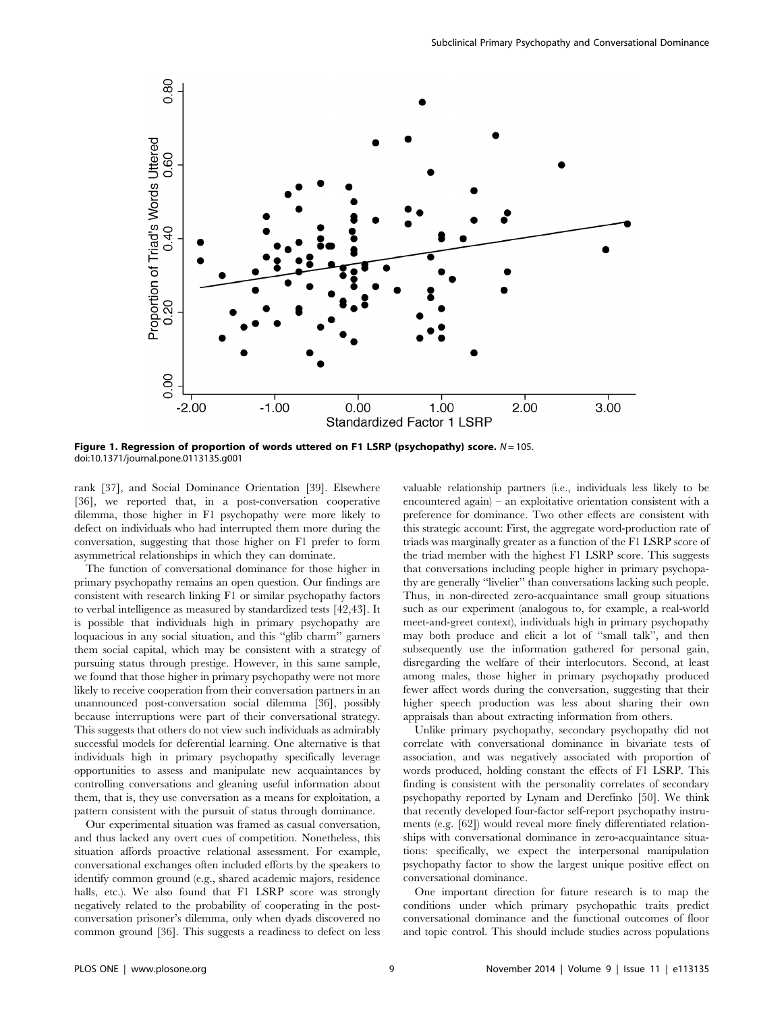

Figure 1. Regression of proportion of words uttered on F1 LSRP (psychopathy) score.  $N = 105$ . doi:10.1371/journal.pone.0113135.g001

rank [37], and Social Dominance Orientation [39]. Elsewhere [36], we reported that, in a post-conversation cooperative dilemma, those higher in F1 psychopathy were more likely to defect on individuals who had interrupted them more during the conversation, suggesting that those higher on F1 prefer to form asymmetrical relationships in which they can dominate.

The function of conversational dominance for those higher in primary psychopathy remains an open question. Our findings are consistent with research linking F1 or similar psychopathy factors to verbal intelligence as measured by standardized tests [42,43]. It is possible that individuals high in primary psychopathy are loquacious in any social situation, and this ''glib charm'' garners them social capital, which may be consistent with a strategy of pursuing status through prestige. However, in this same sample, we found that those higher in primary psychopathy were not more likely to receive cooperation from their conversation partners in an unannounced post-conversation social dilemma [36], possibly because interruptions were part of their conversational strategy. This suggests that others do not view such individuals as admirably successful models for deferential learning. One alternative is that individuals high in primary psychopathy specifically leverage opportunities to assess and manipulate new acquaintances by controlling conversations and gleaning useful information about them, that is, they use conversation as a means for exploitation, a pattern consistent with the pursuit of status through dominance.

Our experimental situation was framed as casual conversation, and thus lacked any overt cues of competition. Nonetheless, this situation affords proactive relational assessment. For example, conversational exchanges often included efforts by the speakers to identify common ground (e.g., shared academic majors, residence halls, etc.). We also found that F1 LSRP score was strongly negatively related to the probability of cooperating in the postconversation prisoner's dilemma, only when dyads discovered no common ground [36]. This suggests a readiness to defect on less

valuable relationship partners (i.e., individuals less likely to be encountered again) – an exploitative orientation consistent with a preference for dominance. Two other effects are consistent with this strategic account: First, the aggregate word-production rate of triads was marginally greater as a function of the F1 LSRP score of the triad member with the highest F1 LSRP score. This suggests that conversations including people higher in primary psychopathy are generally ''livelier'' than conversations lacking such people. Thus, in non-directed zero-acquaintance small group situations such as our experiment (analogous to, for example, a real-world meet-and-greet context), individuals high in primary psychopathy may both produce and elicit a lot of ''small talk'', and then subsequently use the information gathered for personal gain, disregarding the welfare of their interlocutors. Second, at least among males, those higher in primary psychopathy produced fewer affect words during the conversation, suggesting that their higher speech production was less about sharing their own appraisals than about extracting information from others.

Unlike primary psychopathy, secondary psychopathy did not correlate with conversational dominance in bivariate tests of association, and was negatively associated with proportion of words produced, holding constant the effects of F1 LSRP. This finding is consistent with the personality correlates of secondary psychopathy reported by Lynam and Derefinko [50]. We think that recently developed four-factor self-report psychopathy instruments (e.g. [62]) would reveal more finely differentiated relationships with conversational dominance in zero-acquaintance situations: specifically, we expect the interpersonal manipulation psychopathy factor to show the largest unique positive effect on conversational dominance.

One important direction for future research is to map the conditions under which primary psychopathic traits predict conversational dominance and the functional outcomes of floor and topic control. This should include studies across populations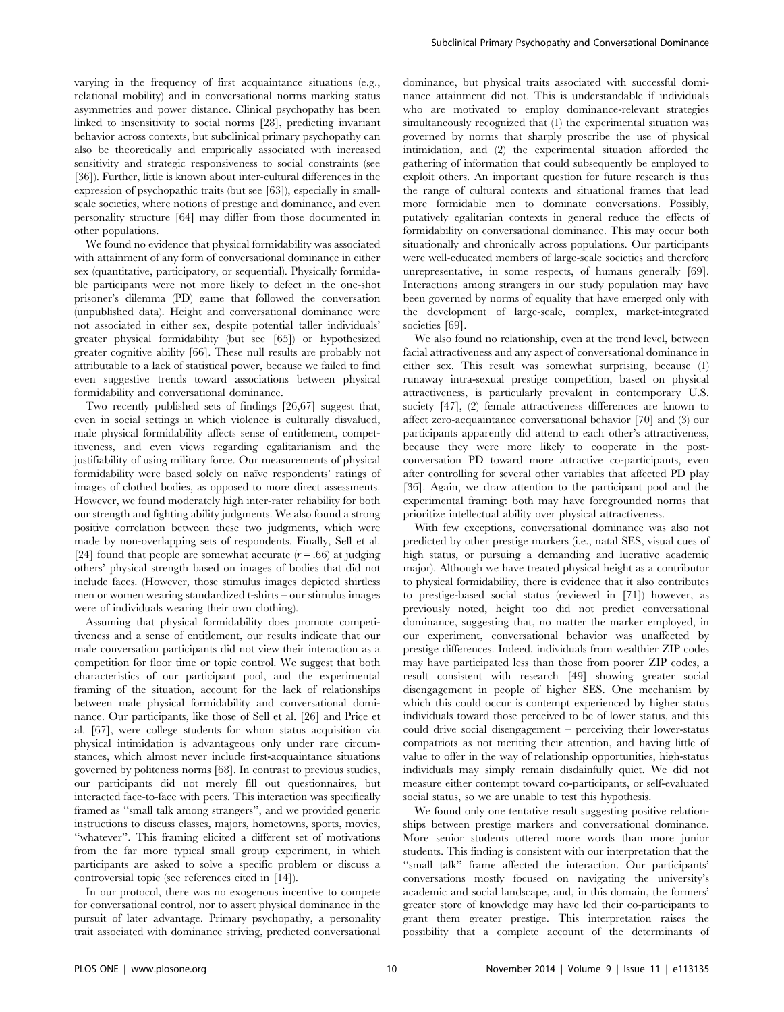varying in the frequency of first acquaintance situations (e.g., relational mobility) and in conversational norms marking status asymmetries and power distance. Clinical psychopathy has been linked to insensitivity to social norms [28], predicting invariant behavior across contexts, but subclinical primary psychopathy can also be theoretically and empirically associated with increased sensitivity and strategic responsiveness to social constraints (see [36]). Further, little is known about inter-cultural differences in the expression of psychopathic traits (but see [63]), especially in smallscale societies, where notions of prestige and dominance, and even personality structure [64] may differ from those documented in other populations.

We found no evidence that physical formidability was associated with attainment of any form of conversational dominance in either sex (quantitative, participatory, or sequential). Physically formidable participants were not more likely to defect in the one-shot prisoner's dilemma (PD) game that followed the conversation (unpublished data). Height and conversational dominance were not associated in either sex, despite potential taller individuals' greater physical formidability (but see [65]) or hypothesized greater cognitive ability [66]. These null results are probably not attributable to a lack of statistical power, because we failed to find even suggestive trends toward associations between physical formidability and conversational dominance.

Two recently published sets of findings [26,67] suggest that, even in social settings in which violence is culturally disvalued, male physical formidability affects sense of entitlement, competitiveness, and even views regarding egalitarianism and the justifiability of using military force. Our measurements of physical formidability were based solely on naïve respondents' ratings of images of clothed bodies, as opposed to more direct assessments. However, we found moderately high inter-rater reliability for both our strength and fighting ability judgments. We also found a strong positive correlation between these two judgments, which were made by non-overlapping sets of respondents. Finally, Sell et al. [24] found that people are somewhat accurate  $(r = .66)$  at judging others' physical strength based on images of bodies that did not include faces. (However, those stimulus images depicted shirtless men or women wearing standardized t-shirts – our stimulus images were of individuals wearing their own clothing).

Assuming that physical formidability does promote competitiveness and a sense of entitlement, our results indicate that our male conversation participants did not view their interaction as a competition for floor time or topic control. We suggest that both characteristics of our participant pool, and the experimental framing of the situation, account for the lack of relationships between male physical formidability and conversational dominance. Our participants, like those of Sell et al. [26] and Price et al. [67], were college students for whom status acquisition via physical intimidation is advantageous only under rare circumstances, which almost never include first-acquaintance situations governed by politeness norms [68]. In contrast to previous studies, our participants did not merely fill out questionnaires, but interacted face-to-face with peers. This interaction was specifically framed as ''small talk among strangers'', and we provided generic instructions to discuss classes, majors, hometowns, sports, movies, ''whatever''. This framing elicited a different set of motivations from the far more typical small group experiment, in which participants are asked to solve a specific problem or discuss a controversial topic (see references cited in [14]).

In our protocol, there was no exogenous incentive to compete for conversational control, nor to assert physical dominance in the pursuit of later advantage. Primary psychopathy, a personality trait associated with dominance striving, predicted conversational

dominance, but physical traits associated with successful dominance attainment did not. This is understandable if individuals who are motivated to employ dominance-relevant strategies simultaneously recognized that (1) the experimental situation was governed by norms that sharply proscribe the use of physical intimidation, and (2) the experimental situation afforded the gathering of information that could subsequently be employed to exploit others. An important question for future research is thus the range of cultural contexts and situational frames that lead more formidable men to dominate conversations. Possibly, putatively egalitarian contexts in general reduce the effects of formidability on conversational dominance. This may occur both situationally and chronically across populations. Our participants were well-educated members of large-scale societies and therefore unrepresentative, in some respects, of humans generally [69]. Interactions among strangers in our study population may have been governed by norms of equality that have emerged only with the development of large-scale, complex, market-integrated societies [69].

We also found no relationship, even at the trend level, between facial attractiveness and any aspect of conversational dominance in either sex. This result was somewhat surprising, because (1) runaway intra-sexual prestige competition, based on physical attractiveness, is particularly prevalent in contemporary U.S. society [47], (2) female attractiveness differences are known to affect zero-acquaintance conversational behavior [70] and (3) our participants apparently did attend to each other's attractiveness, because they were more likely to cooperate in the postconversation PD toward more attractive co-participants, even after controlling for several other variables that affected PD play [36]. Again, we draw attention to the participant pool and the experimental framing: both may have foregrounded norms that prioritize intellectual ability over physical attractiveness.

With few exceptions, conversational dominance was also not predicted by other prestige markers (i.e., natal SES, visual cues of high status, or pursuing a demanding and lucrative academic major). Although we have treated physical height as a contributor to physical formidability, there is evidence that it also contributes to prestige-based social status (reviewed in [71]) however, as previously noted, height too did not predict conversational dominance, suggesting that, no matter the marker employed, in our experiment, conversational behavior was unaffected by prestige differences. Indeed, individuals from wealthier ZIP codes may have participated less than those from poorer ZIP codes, a result consistent with research [49] showing greater social disengagement in people of higher SES. One mechanism by which this could occur is contempt experienced by higher status individuals toward those perceived to be of lower status, and this could drive social disengagement – perceiving their lower-status compatriots as not meriting their attention, and having little of value to offer in the way of relationship opportunities, high-status individuals may simply remain disdainfully quiet. We did not measure either contempt toward co-participants, or self-evaluated social status, so we are unable to test this hypothesis.

We found only one tentative result suggesting positive relationships between prestige markers and conversational dominance. More senior students uttered more words than more junior students. This finding is consistent with our interpretation that the "small talk" frame affected the interaction. Our participants' conversations mostly focused on navigating the university's academic and social landscape, and, in this domain, the formers' greater store of knowledge may have led their co-participants to grant them greater prestige. This interpretation raises the possibility that a complete account of the determinants of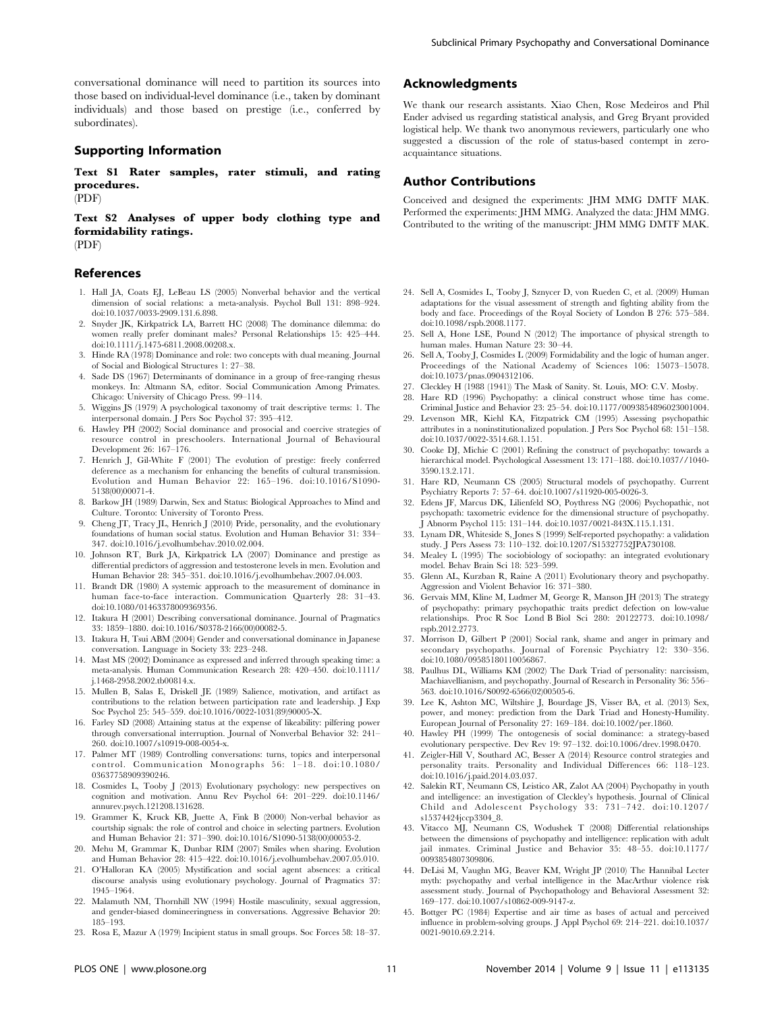conversational dominance will need to partition its sources into those based on individual-level dominance (i.e., taken by dominant individuals) and those based on prestige (i.e., conferred by subordinates).

## Supporting Information

Text S1 Rater samples, rater stimuli, and rating procedures. (PDF)

Text S2 Analyses of upper body clothing type and formidability ratings.

(PDF)

## References

- 1. Hall JA, Coats EJ, LeBeau LS (2005) Nonverbal behavior and the vertical dimension of social relations: a meta-analysis. Psychol Bull 131: 898–924. doi:10.1037/0033-2909.131.6.898.
- 2. Snyder JK, Kirkpatrick LA, Barrett HC (2008) The dominance dilemma: do women really prefer dominant males? Personal Relationships 15: 425-444. doi:10.1111/j.1475-6811.2008.00208.x.
- 3. Hinde RA (1978) Dominance and role: two concepts with dual meaning. Journal of Social and Biological Structures 1: 27–38.
- 4. Sade DS (1967) Determinants of dominance in a group of free-ranging rhesus monkeys. In: Altmann SA, editor. Social Communication Among Primates. Chicago: University of Chicago Press. 99–114.
- 5. Wiggins JS (1979) A psychological taxonomy of trait descriptive terms: 1. The interpersonal domain. J Pers Soc Psychol 37: 395–412.
- 6. Hawley PH (2002) Social dominance and prosocial and coercive strategies of resource control in preschoolers. International Journal of Behavioural Development 26: 167–176.
- 7. Henrich J, Gil-White F (2001) The evolution of prestige: freely conferred deference as a mechanism for enhancing the benefits of cultural transmission. Evolution and Human Behavior 22: 165–196. doi:10.1016/S1090- 5138(00)00071-4.
- 8. Barkow JH (1989) Darwin, Sex and Status: Biological Approaches to Mind and Culture. Toronto: University of Toronto Press.
- 9. Cheng JT, Tracy JL, Henrich J (2010) Pride, personality, and the evolutionary foundations of human social status. Evolution and Human Behavior 31: 334– 347. doi:10.1016/j.evolhumbehav.2010.02.004.
- 10. Johnson RT, Burk JA, Kirkpatrick LA (2007) Dominance and prestige as differential predictors of aggression and testosterone levels in men. Evolution and Human Behavior 28: 345–351. doi:10.1016/j.evolhumbehav.2007.04.003.
- 11. Brandt DR (1980) A systemic approach to the measurement of dominance in human face-to-face interaction. Communication Quarterly 28: 31–43. doi:10.1080/01463378009369356.
- 12. Itakura H (2001) Describing conversational dominance. Journal of Pragmatics 33: 1859–1880. doi:10.1016/S0378-2166(00)00082-5.
- 13. Itakura H, Tsui ABM (2004) Gender and conversational dominance in Japanese conversation. Language in Society 33: 223–248.
- 14. Mast MS (2002) Dominance as expressed and inferred through speaking time: a meta-analysis. Human Communication Research 28: 420–450. doi:10.1111/ j.1468-2958.2002.tb00814.x.
- 15. Mullen B, Salas E, Driskell JE (1989) Salience, motivation, and artifact as contributions to the relation between participation rate and leadership. J Exp Soc Psychol 25: 545–559. doi:10.1016/0022-1031(89)90005-X.
- 16. Farley SD (2008) Attaining status at the expense of likeability: pilfering power through conversational interruption. Journal of Nonverbal Behavior 32: 241– 260. doi:10.1007/s10919-008-0054-x.
- 17. Palmer MT (1989) Controlling conversations: turns, topics and interpersonal control. Communication Monographs 56: 1–18. doi:10.1080/ 03637758909390246.
- 18. Cosmides L, Tooby J (2013) Evolutionary psychology: new perspectives on cognition and motivation. Annu Rev Psychol 64: 201–229. doi:10.1146/ annurev.psych.121208.131628.
- 19. Grammer K, Kruck KB, Juette A, Fink B (2000) Non-verbal behavior as courtship signals: the role of control and choice in selecting partners. Evolution and Human Behavior 21: 371–390. doi:10.1016/S1090-5138(00)00053-2.
- 20. Mehu M, Grammar K, Dunbar RIM (2007) Smiles when sharing. Evolution and Human Behavior 28: 415–422. doi:10.1016/j.evolhumbehav.2007.05.010.
- 21. O'Halloran KA (2005) Mystification and social agent absences: a critical discourse analysis using evolutionary psychology. Journal of Pragmatics 37: 1945–1964.
- 22. Malamuth NM, Thornhill NW (1994) Hostile masculinity, sexual aggression, and gender-biased domineeringness in conversations. Aggressive Behavior 20: 185–193.
- 23. Rosa E, Mazur A (1979) Incipient status in small groups. Soc Forces 58: 18–37.

## Acknowledgments

We thank our research assistants. Xiao Chen, Rose Medeiros and Phil Ender advised us regarding statistical analysis, and Greg Bryant provided logistical help. We thank two anonymous reviewers, particularly one who suggested a discussion of the role of status-based contempt in zeroacquaintance situations.

## Author Contributions

Conceived and designed the experiments: JHM MMG DMTF MAK. Performed the experiments: JHM MMG. Analyzed the data: JHM MMG. Contributed to the writing of the manuscript: JHM MMG DMTF MAK.

- 24. Sell A, Cosmides L, Tooby J, Sznycer D, von Rueden C, et al. (2009) Human adaptations for the visual assessment of strength and fighting ability from the body and face. Proceedings of the Royal Society of London B 276: 575–584. doi:10.1098/rspb.2008.1177.
- 25. Sell A, Hone LSE, Pound N (2012) The importance of physical strength to human males. Human Nature 23: 30–44.
- 26. Sell A, Tooby J, Cosmides L (2009) Formidability and the logic of human anger. Proceedings of the National Academy of Sciences 106: 15073–15078. doi:10.1073/pnas.0904312106.
- 27. Cleckley H (1988 (1941)) The Mask of Sanity. St. Louis, MO: C.V. Mosby.
- 28. Hare RD (1996) Psychopathy: a clinical construct whose time has come. Criminal Justice and Behavior 23: 25–54. doi:10.1177/0093854896023001004.
- 29. Levenson MR, Kiehl KA, Fitzpatrick CM (1995) Assessing psychopathic attributes in a noninstitutionalized population. J Pers Soc Psychol 68: 151–158. doi:10.1037/0022-3514.68.1.151.
- 30. Cooke DJ, Michie C (2001) Refining the construct of psychopathy: towards a hierarchical model. Psychological Assessment 13: 171–188. doi:10.1037//1040- 3590.13.2.171.
- 31. Hare RD, Neumann CS (2005) Structural models of psychopathy. Current Psychiatry Reports 7: 57–64. doi:10.1007/s11920-005-0026-3.
- 32. Edens JF, Marcus DK, Lilienfeld SO, Poythress NG (2006) Psychopathic, not psychopath: taxometric evidence for the dimensional structure of psychopathy. J Abnorm Psychol 115: 131–144. doi:10.1037/0021-843X.115.1.131.
- 33. Lynam DR, Whiteside S, Jones S (1999) Self-reported psychopathy: a validation study. J Pers Assess 73: 110–132. doi:10.1207/S15327752JPA730108.
- 34. Mealey L (1995) The sociobiology of sociopathy: an integrated evolutionary model. Behav Brain Sci 18: 523–599.
- 35. Glenn AL, Kurzban R, Raine A (2011) Evolutionary theory and psychopathy. Aggression and Violent Behavior 16: 371–380.
- 36. Gervais MM, Kline M, Ludmer M, George R, Manson JH (2013) The strategy of psychopathy: primary psychopathic traits predict defection on low-value relationships. Proc R Soc Lond B Biol Sci 280: 20122773. doi:10.1098/ rspb.2012.2773.
- 37. Morrison D, Gilbert P (2001) Social rank, shame and anger in primary and secondary psychopaths. Journal of Forensic Psychiatry 12: 330–356. doi:10.1080/09585180110056867.
- 38. Paulhus DL, Williams KM (2002) The Dark Triad of personality: narcissism, Machiavellianism, and psychopathy. Journal of Research in Personality 36: 556– 563. doi:10.1016/S0092-6566(02)00505-6.
- 39. Lee K, Ashton MC, Wiltshire J, Bourdage JS, Visser BA, et al. (2013) Sex, power, and money: prediction from the Dark Triad and Honesty-Humility. European Journal of Personality 27: 169–184. doi:10.1002/per.1860.
- 40. Hawley PH (1999) The ontogenesis of social dominance: a strategy-based evolutionary perspective. Dev Rev 19: 97–132. doi:10.1006/drev.1998.0470.
- 41. Zeigler-Hill V, Southard AC, Besser A (2014) Resource control strategies and personality traits. Personality and Individual Differences 66: 118–123. doi:10.1016/j.paid.2014.03.037.
- 42. Salekin RT, Neumann CS, Leistico AR, Zalot AA (2004) Psychopathy in youth and intelligence: an investigation of Cleckley's hypothesis. Journal of Clinical Child and Adolescent Psychology 33: 731–742. doi:10.1207/ s15374424jccp3304\_8.
- 43. Vitacco MJ, Neumann CS, Wodushek T (2008) Differential relationships between the dimensions of psychopathy and intelligence: replication with adult jail inmates. Criminal Justice and Behavior 35: 48–55. doi:10.1177/ 0093854807309806.
- 44. DeLisi M, Vaughn MG, Beaver KM, Wright JP (2010) The Hannibal Lecter myth: psychopathy and verbal intelligence in the MacArthur violence risk assessment study. Journal of Psychopathology and Behavioral Assessment 32: 169–177. doi:10.1007/s10862-009-9147-z.
- 45. Bottger PC (1984) Expertise and air time as bases of actual and perceived influence in problem-solving groups. J Appl Psychol 69: 214–221. doi:10.1037/ 0021-9010.69.2.214.